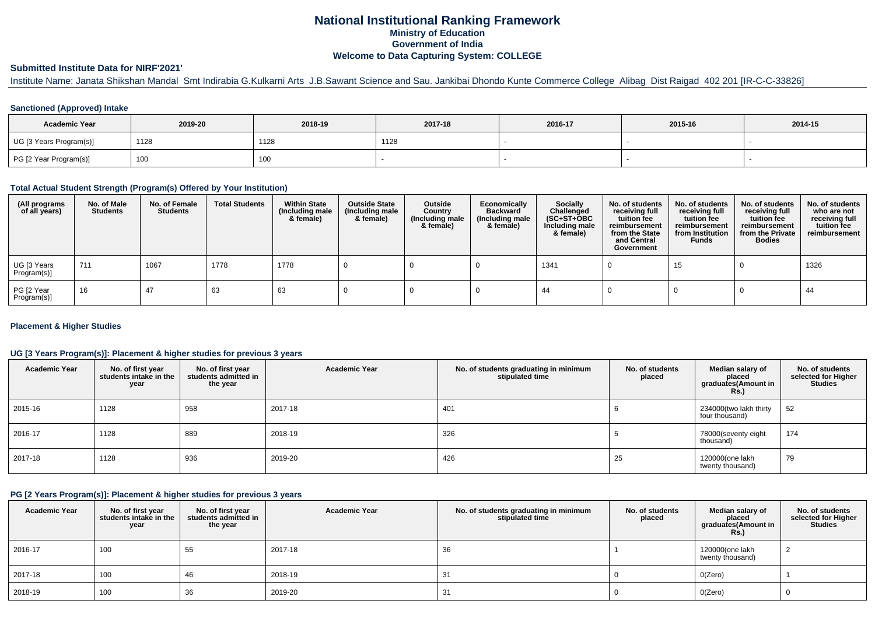# **National Institutional Ranking FrameworkMinistry of Education Government of IndiaWelcome to Data Capturing System: COLLEGE**

### **Submitted Institute Data for NIRF'2021'**

Institute Name: Janata Shikshan Mandal Smt Indirabia G.Kulkarni Arts J.B.Sawant Science and Sau. Jankibai Dhondo Kunte Commerce College Alibag Dist Raigad 402 201 [IR-C-C-33826]

### **Sanctioned (Approved) Intake**

| <b>Academic Year</b>    | 2019-20           | 2018-19 | 2017-18 | 2016-17 | 2015-16 | 2014-15 |
|-------------------------|-------------------|---------|---------|---------|---------|---------|
| UG [3 Years Program(s)] | 1128              | 1128    | 1128    |         |         |         |
| PG [2 Year Program(s)]  | 100<br><b>IUU</b> | 100     |         |         |         |         |

#### **Total Actual Student Strength (Program(s) Offered by Your Institution)**

| (All programs<br>of all years) | No. of Male<br><b>Students</b> | No. of Female<br><b>Students</b> | <b>Total Students</b> | <b>Within State</b><br>(Including male<br>& female) | <b>Outside State</b><br>(Including male<br>& female) | Outside<br>Country<br>(Including male<br>& female) | Economically<br><b>Backward</b><br>(Including male<br>& female) | <b>Socially</b><br>Challenged<br>$(SC+ST+OBC)$<br>Including male<br>& female) | No. of students<br>receiving full<br>tuition fee<br>reimbursement<br>from the State<br>and Central<br>Government | No. of students<br>receiving full<br>tuition fee<br>reimbursement<br>from Institution<br><b>Funds</b> | No. of students<br>receiving full<br>tuition fee<br>reimbursement<br>from the Private<br><b>Bodies</b> | No. of students<br>who are not<br>receiving full<br>tuition fee<br>reimbursement |
|--------------------------------|--------------------------------|----------------------------------|-----------------------|-----------------------------------------------------|------------------------------------------------------|----------------------------------------------------|-----------------------------------------------------------------|-------------------------------------------------------------------------------|------------------------------------------------------------------------------------------------------------------|-------------------------------------------------------------------------------------------------------|--------------------------------------------------------------------------------------------------------|----------------------------------------------------------------------------------|
| UG [3 Years<br>Program(s)]     | 711                            | 1067                             | 1778                  | 1778                                                |                                                      |                                                    |                                                                 | 1341                                                                          |                                                                                                                  | 15                                                                                                    |                                                                                                        | 1326                                                                             |
| PG [2 Year<br>Program(s)]      | 16                             | 47                               | 63                    | 63                                                  |                                                      |                                                    |                                                                 | 44                                                                            |                                                                                                                  |                                                                                                       |                                                                                                        | 44                                                                               |

### **Placement & Higher Studies**

### **UG [3 Years Program(s)]: Placement & higher studies for previous 3 years**

| <b>Academic Year</b> | No. of first year<br>students intake in the<br>year | No. of first year<br>students admitted in<br>the year | <b>Academic Year</b> | No. of students graduating in minimum<br>stipulated time | No. of students<br>placed | Median salary of<br>placed<br>graduates(Amount in<br><b>Rs.)</b> | No. of students<br>selected for Higher<br><b>Studies</b> |
|----------------------|-----------------------------------------------------|-------------------------------------------------------|----------------------|----------------------------------------------------------|---------------------------|------------------------------------------------------------------|----------------------------------------------------------|
| 2015-16              | 1128                                                | 958                                                   | 2017-18              | 401                                                      |                           | 234000(two lakh thirty<br>four thousand)                         | 52                                                       |
| 2016-17              | 1128                                                | 889                                                   | 2018-19              | 326                                                      |                           | 78000(seventy eight<br>thousand)                                 | 174                                                      |
| 2017-18              | 1128                                                | 936                                                   | 2019-20              | 426                                                      | 25                        | 120000(one lakh<br>twenty thousand)                              | 79                                                       |

#### **PG [2 Years Program(s)]: Placement & higher studies for previous 3 years**

| <b>Academic Year</b> | No. of first year<br>students intake in the<br>year | No. of first year<br>students admitted in<br>the year | <b>Academic Year</b> | No. of students graduating in minimum<br>stipulated time | No. of students<br>placed | Median salary of<br>placed<br>graduates(Amount in<br><b>Rs.)</b> | No. of students<br>selected for Higher<br><b>Studies</b> |
|----------------------|-----------------------------------------------------|-------------------------------------------------------|----------------------|----------------------------------------------------------|---------------------------|------------------------------------------------------------------|----------------------------------------------------------|
| 2016-17              | 100                                                 | 55                                                    | 2017-18              | 36                                                       |                           | 120000(one lakh<br>twenty thousand)                              |                                                          |
| 2017-18              | 100                                                 | 46                                                    | 2018-19              | 31                                                       |                           | O(Zero)                                                          |                                                          |
| 2018-19              | 100                                                 | 36                                                    | 2019-20              | -31                                                      |                           | O(Zero)                                                          |                                                          |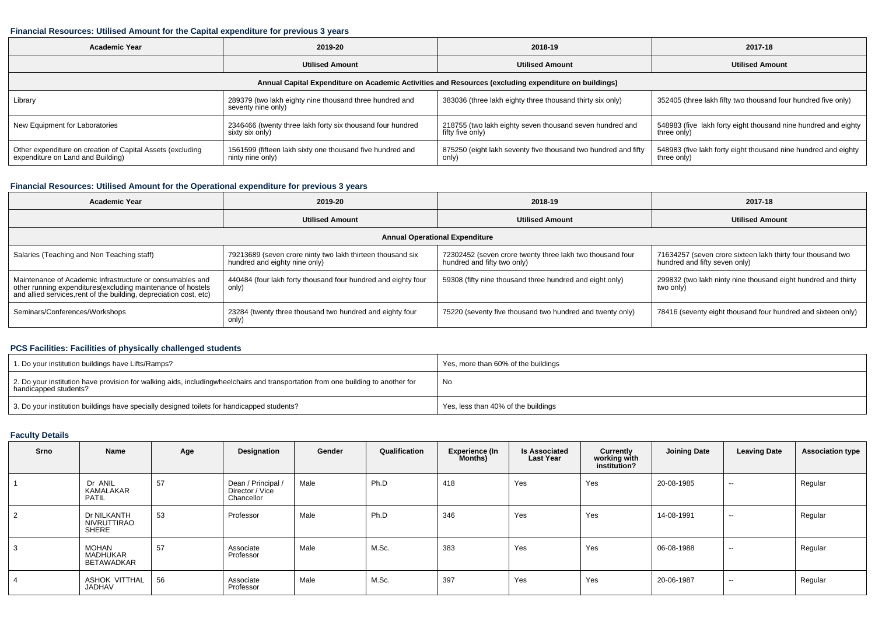#### **Financial Resources: Utilised Amount for the Capital expenditure for previous 3 years**

| <b>Academic Year</b>                                                                                 | 2019-20                                                                       | 2018-19                                                                      | 2017-18                                                                       |  |  |  |  |  |  |  |  |  |
|------------------------------------------------------------------------------------------------------|-------------------------------------------------------------------------------|------------------------------------------------------------------------------|-------------------------------------------------------------------------------|--|--|--|--|--|--|--|--|--|
|                                                                                                      | <b>Utilised Amount</b>                                                        | <b>Utilised Amount</b>                                                       | <b>Utilised Amount</b>                                                        |  |  |  |  |  |  |  |  |  |
| Annual Capital Expenditure on Academic Activities and Resources (excluding expenditure on buildings) |                                                                               |                                                                              |                                                                               |  |  |  |  |  |  |  |  |  |
| Library                                                                                              | 289379 (two lakh eighty nine thousand three hundred and<br>seventy nine only) | 383036 (three lakh eighty three thousand thirty six only)                    | 352405 (three lakh fifty two thousand four hundred five only)                 |  |  |  |  |  |  |  |  |  |
| New Equipment for Laboratories                                                                       | 2346466 (twenty three lakh forty six thousand four hundred<br>sixty six only) | 218755 (two lakh eighty seven thousand seven hundred and<br>fifty five only) | 548983 (five lakh forty eight thousand nine hundred and eighty<br>three only) |  |  |  |  |  |  |  |  |  |
| Other expenditure on creation of Capital Assets (excluding<br>expenditure on Land and Building)      | 1561599 (fifteen lakh sixty one thousand five hundred and<br>ninty nine only) | 875250 (eight lakh seventy five thousand two hundred and fifty<br>only)      | 548983 (five lakh forty eight thousand nine hundred and eighty<br>three only) |  |  |  |  |  |  |  |  |  |

## **Financial Resources: Utilised Amount for the Operational expenditure for previous 3 years**

| Academic Year                                                                                                                                                                                   | 2019-20                                                                                     | 2018-19                                                                                  | 2017-18                                                                                      |  |  |  |  |  |  |  |  |  |
|-------------------------------------------------------------------------------------------------------------------------------------------------------------------------------------------------|---------------------------------------------------------------------------------------------|------------------------------------------------------------------------------------------|----------------------------------------------------------------------------------------------|--|--|--|--|--|--|--|--|--|
|                                                                                                                                                                                                 | <b>Utilised Amount</b>                                                                      | <b>Utilised Amount</b>                                                                   | <b>Utilised Amount</b>                                                                       |  |  |  |  |  |  |  |  |  |
| <b>Annual Operational Expenditure</b>                                                                                                                                                           |                                                                                             |                                                                                          |                                                                                              |  |  |  |  |  |  |  |  |  |
| Salaries (Teaching and Non Teaching staff)                                                                                                                                                      | 79213689 (seven crore ninty two lakh thirteen thousand six<br>hundred and eighty nine only) | 72302452 (seven crore twenty three lakh two thousand four<br>hundred and fifty two only) | 71634257 (seven crore sixteen lakh thirty four thousand two<br>hundred and fifty seven only) |  |  |  |  |  |  |  |  |  |
| Maintenance of Academic Infrastructure or consumables and<br>other running expenditures (excluding maintenance of hostels<br>and allied services, rent of the building, depreciation cost, etc) | 440484 (four lakh forty thousand four hundred and eighty four<br>only)                      | 59308 (fifty nine thousand three hundred and eight only)                                 | 299832 (two lakh ninty nine thousand eight hundred and thirty<br>two only)                   |  |  |  |  |  |  |  |  |  |
| Seminars/Conferences/Workshops                                                                                                                                                                  | 23284 (twenty three thousand two hundred and eighty four<br>only)                           | 75220 (seventy five thousand two hundred and twenty only)                                | 78416 (seventy eight thousand four hundred and sixteen only)                                 |  |  |  |  |  |  |  |  |  |

### **PCS Facilities: Facilities of physically challenged students**

| 1. Do your institution buildings have Lifts/Ramps?                                                                                                        | Yes, more than 60% of the buildings |
|-----------------------------------------------------------------------------------------------------------------------------------------------------------|-------------------------------------|
| 2. Do your institution have provision for walking aids, includingwheelchairs and transportation from one building to another for<br>handicapped students? | No                                  |
| 3. Do your institution buildings have specially designed toilets for handicapped students?                                                                | Yes, less than 40% of the buildings |

### **Faculty Details**

| Srno | Name                                   | Age | Designation                                         | Gender | Qualification | <b>Experience (In</b><br>Months) | <b>Is Associated</b><br><b>Last Year</b> | Currently<br>working with<br>institution? | <b>Joining Date</b> | <b>Leaving Date</b> | <b>Association type</b> |
|------|----------------------------------------|-----|-----------------------------------------------------|--------|---------------|----------------------------------|------------------------------------------|-------------------------------------------|---------------------|---------------------|-------------------------|
|      | Dr ANIL<br>KAMALAKAR<br>PATIL          | 57  | Dean / Principal /<br>Director / Vice<br>Chancellor | Male   | Ph.D          | 418                              | Yes                                      | Yes                                       | 20-08-1985          | $\sim$              | Regular                 |
| 2    | Dr NILKANTH<br>NIVRUTTIRAO<br>SHERE    | 53  | Professor                                           | Male   | Ph.D          | 346                              | Yes                                      | Yes                                       | 14-08-1991          | $\sim$              | Regular                 |
| 3    | <b>MOHAN</b><br>MADHUKAR<br>BETAWADKAR | 57  | Associate<br>Professor                              | Male   | M.Sc.         | 383                              | Yes                                      | Yes                                       | 06-08-1988          | $\sim$              | Regular                 |
| 4    | ASHOK VITTHAL<br><b>JADHAV</b>         | 56  | Associate<br>Professor                              | Male   | M.Sc.         | 397                              | Yes                                      | Yes                                       | 20-06-1987          | $\sim$              | Regular                 |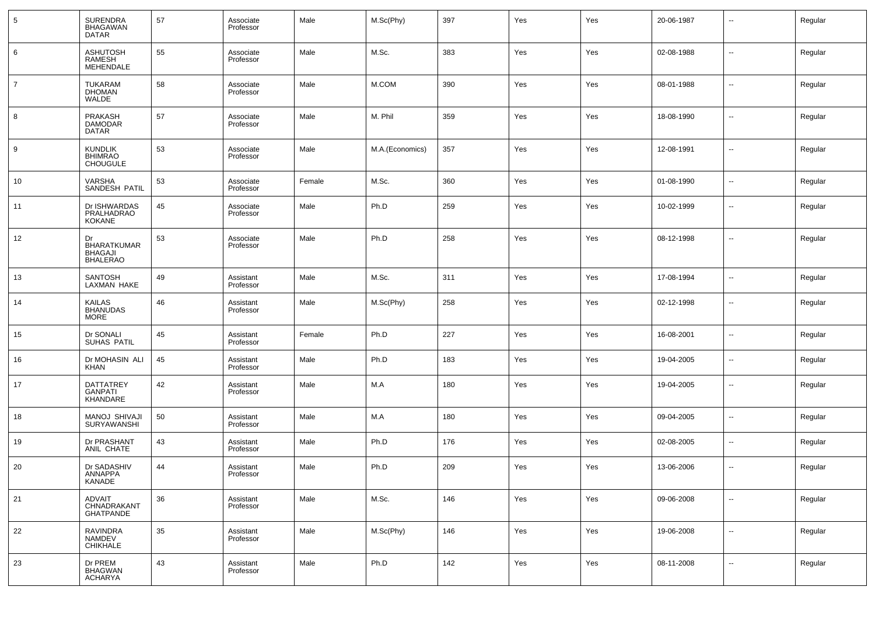| 5              | <b>SURENDRA</b><br><b>BHAGAWAN</b><br><b>DATAR</b>            | 57 | Associate<br>Professor | Male   | M.Sc(Phy)       | 397 | Yes | Yes | 20-06-1987 | --                       | Regular |
|----------------|---------------------------------------------------------------|----|------------------------|--------|-----------------|-----|-----|-----|------------|--------------------------|---------|
| 6              | <b>ASHUTOSH</b><br>RAMESH<br>MEHENDALE                        | 55 | Associate<br>Professor | Male   | M.Sc.           | 383 | Yes | Yes | 02-08-1988 | --                       | Regular |
| $\overline{7}$ | TUKARAM<br>DHOMAN<br>WALDE                                    | 58 | Associate<br>Professor | Male   | M.COM           | 390 | Yes | Yes | 08-01-1988 | --                       | Regular |
| 8              | <b>PRAKASH</b><br><b>DAMODAR</b><br>DATAR                     | 57 | Associate<br>Professor | Male   | M. Phil         | 359 | Yes | Yes | 18-08-1990 | --                       | Regular |
| 9              | <b>KUNDLIK</b><br><b>BHIMRAO</b><br><b>CHOUGULE</b>           | 53 | Associate<br>Professor | Male   | M.A.(Economics) | 357 | Yes | Yes | 12-08-1991 | --                       | Regular |
| 10             | VARSHA<br>SANDESH PATIL                                       | 53 | Associate<br>Professor | Female | M.Sc.           | 360 | Yes | Yes | 01-08-1990 | ш.                       | Regular |
| 11             | Dr ISHWARDAS<br>PRALHADRAO<br><b>KOKANE</b>                   | 45 | Associate<br>Professor | Male   | Ph.D            | 259 | Yes | Yes | 10-02-1999 | $\overline{\phantom{a}}$ | Regular |
| 12             | Dr<br><b>BHARATKUMAR</b><br><b>BHAGAJI</b><br><b>BHALERAO</b> | 53 | Associate<br>Professor | Male   | Ph.D            | 258 | Yes | Yes | 08-12-1998 | ۰.                       | Regular |
| 13             | <b>SANTOSH</b><br>LAXMAN HAKE                                 | 49 | Assistant<br>Professor | Male   | M.Sc.           | 311 | Yes | Yes | 17-08-1994 | $\overline{a}$           | Regular |
| 14             | <b>KAILAS</b><br><b>BHANUDAS</b><br><b>MORE</b>               | 46 | Assistant<br>Professor | Male   | M.Sc(Phy)       | 258 | Yes | Yes | 02-12-1998 | --                       | Regular |
| 15             | Dr SONALI<br>SUHAS PATIL                                      | 45 | Assistant<br>Professor | Female | Ph.D            | 227 | Yes | Yes | 16-08-2001 | --                       | Regular |
| 16             | Dr MOHASIN ALI<br>KHAN                                        | 45 | Assistant<br>Professor | Male   | Ph.D            | 183 | Yes | Yes | 19-04-2005 | ۰.                       | Regular |
| 17             | DATTATREY<br><b>GANPATI</b><br>KHANDARE                       | 42 | Assistant<br>Professor | Male   | M.A             | 180 | Yes | Yes | 19-04-2005 | ۰.                       | Regular |
| 18             | MANOJ SHIVAJI<br><b>SURYAWANSHI</b>                           | 50 | Assistant<br>Professor | Male   | M.A             | 180 | Yes | Yes | 09-04-2005 | --                       | Regular |
| 19             | Dr PRASHANT<br>ANIL CHATE                                     | 43 | Assistant<br>Professor | Male   | Ph.D            | 176 | Yes | Yes | 02-08-2005 | $\sim$                   | Regular |
| 20             | Dr SADASHIV<br>ANNAPPA<br>KANADE                              | 44 | Assistant<br>Professor | Male   | Ph.D            | 209 | Yes | Yes | 13-06-2006 | --                       | Regular |
| 21             | <b>ADVAIT</b><br>CHNADRAKANT<br><b>GHATPANDE</b>              | 36 | Assistant<br>Professor | Male   | M.Sc.           | 146 | Yes | Yes | 09-06-2008 | $\overline{\phantom{a}}$ | Regular |
| 22             | RAVINDRA<br>NAMDEV<br>CHIKHALE                                | 35 | Assistant<br>Professor | Male   | M.Sc(Phy)       | 146 | Yes | Yes | 19-06-2008 | $\sim$                   | Regular |
| 23             | Dr PREM<br>BHAGWAN<br><b>ACHARYA</b>                          | 43 | Assistant<br>Professor | Male   | Ph.D            | 142 | Yes | Yes | 08-11-2008 | $\sim$                   | Regular |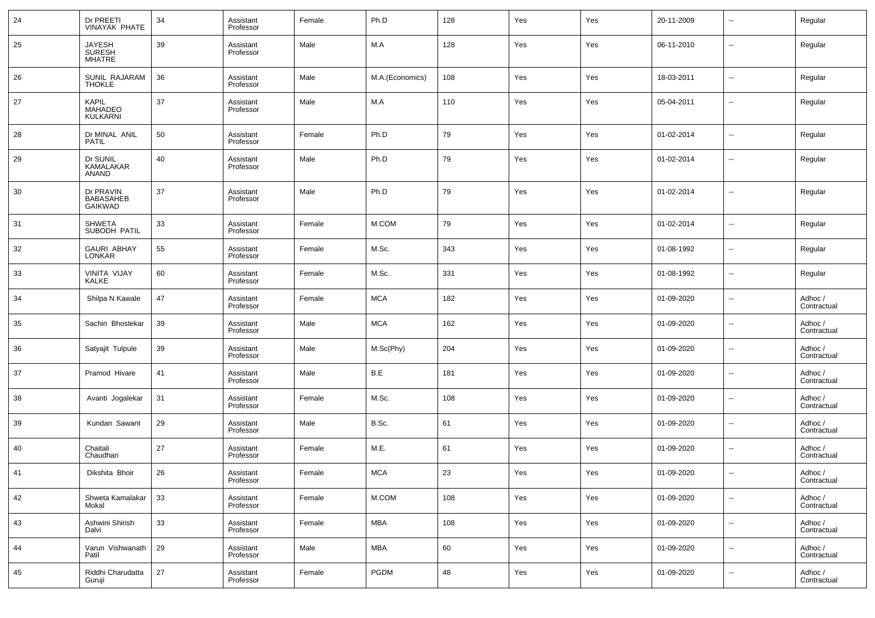| 24 | Dr PREETI<br>VINAYAK PHATE               | 34 | Assistant<br>Professor | Female | Ph.D            | 128 | Yes | Yes | 20-11-2009 | $\overline{\phantom{a}}$ | Regular                |
|----|------------------------------------------|----|------------------------|--------|-----------------|-----|-----|-----|------------|--------------------------|------------------------|
| 25 | JAYESH<br>SURESH<br>MHATRE               | 39 | Assistant<br>Professor | Male   | M.A             | 128 | Yes | Yes | 06-11-2010 | $\overline{\phantom{a}}$ | Regular                |
| 26 | SUNIL RAJARAM<br><b>THOKLE</b>           | 36 | Assistant<br>Professor | Male   | M.A.(Economics) | 108 | Yes | Yes | 18-03-2011 | $\overline{\phantom{a}}$ | Regular                |
| 27 | <b>KAPIL</b><br>MAHADEO<br>KULKARNI      | 37 | Assistant<br>Professor | Male   | M.A             | 110 | Yes | Yes | 05-04-2011 | $\overline{\phantom{a}}$ | Regular                |
| 28 | Dr MINAL ANIL<br><b>PATIL</b>            | 50 | Assistant<br>Professor | Female | Ph.D            | 79  | Yes | Yes | 01-02-2014 | $\ddotsc$                | Regular                |
| 29 | Dr SUNIL<br>KAMALAKAR<br><b>ANAND</b>    | 40 | Assistant<br>Professor | Male   | Ph.D            | 79  | Yes | Yes | 01-02-2014 | $\overline{\phantom{a}}$ | Regular                |
| 30 | Dr PRAVIN<br><b>BABASAHEB</b><br>GAIKWAD | 37 | Assistant<br>Professor | Male   | Ph.D            | 79  | Yes | Yes | 01-02-2014 | $\overline{\phantom{a}}$ | Regular                |
| 31 | <b>SHWETA</b><br>SUBODH PATIL            | 33 | Assistant<br>Professor | Female | M.COM           | 79  | Yes | Yes | 01-02-2014 | $\overline{\phantom{a}}$ | Regular                |
| 32 | <b>GAURI ABHAY</b><br><b>LONKAR</b>      | 55 | Assistant<br>Professor | Female | M.Sc.           | 343 | Yes | Yes | 01-08-1992 | $\overline{\phantom{a}}$ | Regular                |
| 33 | VINITA VIJAY<br>KALKE                    | 60 | Assistant<br>Professor | Female | M.Sc.           | 331 | Yes | Yes | 01-08-1992 | $\overline{\phantom{a}}$ | Regular                |
| 34 | Shilpa N Kawale                          | 47 | Assistant<br>Professor | Female | <b>MCA</b>      | 182 | Yes | Yes | 01-09-2020 | $\overline{\phantom{a}}$ | Adhoc /<br>Contractual |
| 35 | Sachin Bhostekar                         | 39 | Assistant<br>Professor | Male   | <b>MCA</b>      | 162 | Yes | Yes | 01-09-2020 | --                       | Adhoc /<br>Contractual |
| 36 | Satyajit Tulpule                         | 39 | Assistant<br>Professor | Male   | M.Sc(Phy)       | 204 | Yes | Yes | 01-09-2020 | $\overline{\phantom{a}}$ | Adhoc /<br>Contractual |
| 37 | Pramod Hivare                            | 41 | Assistant<br>Professor | Male   | B.E             | 181 | Yes | Yes | 01-09-2020 | --                       | Adhoc /<br>Contractual |
| 38 | Avanti Jogalekar                         | 31 | Assistant<br>Professor | Female | M.Sc.           | 108 | Yes | Yes | 01-09-2020 | --                       | Adhoc /<br>Contractual |
| 39 | Kundan Sawant                            | 29 | Assistant<br>Professor | Male   | B.Sc.           | 61  | Yes | Yes | 01-09-2020 | $\overline{\phantom{a}}$ | Adhoc /<br>Contractual |
| 40 | Chaitali<br>Chaudhari                    | 27 | Assistant<br>Professor | Female | M.E.            | 61  | Yes | Yes | 01-09-2020 | $\overline{\phantom{a}}$ | Adhoc /<br>Contractual |
| 41 | Dikshita Bhoir                           | 26 | Assistant<br>Professor | Female | <b>MCA</b>      | 23  | Yes | Yes | 01-09-2020 | --                       | Adhoc /<br>Contractual |
| 42 | Shweta Kamalakar<br>Mokal                | 33 | Assistant<br>Professor | Female | M.COM           | 108 | Yes | Yes | 01-09-2020 | $\overline{\phantom{a}}$ | Adhoc /<br>Contractual |
| 43 | Ashwini Shirish<br>Dalvi                 | 33 | Assistant<br>Professor | Female | <b>MBA</b>      | 108 | Yes | Yes | 01-09-2020 | $\overline{\phantom{a}}$ | Adhoc /<br>Contractual |
| 44 | Varun Vishwanath<br>Patil                | 29 | Assistant<br>Professor | Male   | <b>MBA</b>      | 60  | Yes | Yes | 01-09-2020 | $\overline{\phantom{a}}$ | Adhoc /<br>Contractual |
| 45 | Riddhi Charudatta<br>Guruji              | 27 | Assistant<br>Professor | Female | <b>PGDM</b>     | 48  | Yes | Yes | 01-09-2020 | $\overline{\phantom{a}}$ | Adhoc /<br>Contractual |